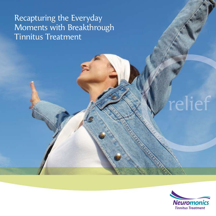# Recapturing the Everyday Moments with Breakthrough Tinnitus Treatment



relief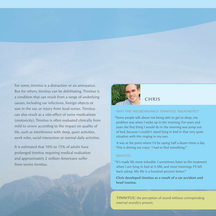For some, tinnitus is a distraction or an annoyance. But for others, tinnitus can be debilitating. Tinnitus is a condition that can result from a range of underlying causes, including ear infections, foreign objects or wax in the ear, or injury from loud noises. Tinnitus can also result as a side-effect of some medications (ototoxicity). Tinnitus is often evaluated clinically from mild to severe according to the impact on quality of life, such as interference with sleep, quiet activities, work roles, social interaction or normal daily activities.

It is estimated that 10% to 15% of adults have prolonged tinnitus requiring medical evaluation and approximately 2 million Americans suffer from severe tinnitus.



```
CHRIS
```
#### WHY THE NEUROMONICS TINNITUS TREATMENT?

"Some people talk about not being able to get to sleep; my problem was when I woke up in the morning. For years and years the first thing I would do in the morning was jump out of bed, because I couldn't stand lying in bed in that very quiet situation with this ringing in my ears.

 It was at the point where I'd be saying half a dozen times a day 'This is driving me crazy.' I had to find something."

#### results:

"It's made life more tolerable. I sometimes listen to the treatment when I am lying in bed at 4 AM, and most mornings I'll fall back asleep. My life is a hundred percent better."

**Chris developed tinnitus as a result of a car accident and head trauma.**

TINNITUS: the perception of sound without corresponding external sound(s) present.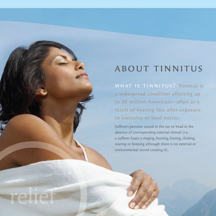# about tinnitus

WHAT IS TINNITUS? Tinnitus is a widespread condition affecting up to 50 million Americans—often as a result of hearing loss after exposure to excessive or loud noises.

Sufferers perceive sound in the ear or head in the absence of corresponding external stimuli (i.e. a sufferer hears a ringing, buzzing, hissing, clicking, roaring or beeping although there is no external or environmental sound creating it).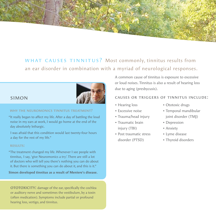



#### WHY THE NEUROMONICS TINNITUS TREATMENT?

"It really began to affect my life. After a day of battling the loud noise in my ears at work, I would go home at the end of the day absolutely lethargic.

 I was afraid that this condition would last twenty-four hours a day for the rest of my life."

#### results:

"The treatment changed my life. Whenever I see people with tinnitus, I say, 'give Neuromonics a try'. There are still a lot of doctors who will tell you there's nothing you can do about it. But there is something you can do about it, and this is it."

#### **Simon developed tinnitus as a result of Meniere's disease.**

OTOTOXICITY: damage of the ear, specifically the cochlea or auditory nerve and sometimes the vestibulum, by a toxin (often medication). Symptoms include partial or profound hearing loss, vertigo, and tinnitus.

A common cause of tinnitus is exposure to excessive or loud noises. Tinnitus is also a result of hearing loss due to aging (presbycusis).

#### SIMON **causes or triggers of tinnitus include:**

- Hearing loss
- Excessive noise
- Trauma/head injury
- Traumatic brain injury (TBI)
- Post traumatic stress disorder (PTSD)
- Ototoxic drugs
- Temporal mandibular joint disorder (TMJ)
- Depression
- Anxiety
- Lyme disease
- Thyroid disorders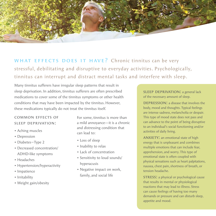

WHAT EFFECTS DOES IT HAVE? Chronic tinnitus can be very stressful, debilitating and disruptive to everyday activities. Psychologically, tinnitus can interrupt and distract mental tasks and interfere with sleep.

Many tinnitus sufferers have irregular sleep patterns that result in sleep deprivation. In addition, tinnitus sufferers are often prescribed medications to cover some of the tinnitus symptoms or other health conditions that may have been impacted by the tinnitus. However, these medications typically do not treat the tinnitus itself.

#### common effects of SLEEP DEPRIVATION:

- Aching muscles
- Depression
- Diabetes—Type 2
- Decreased concentration/ ADHD-like symptoms
- Headaches
- Hypertension/hyperactivity
- Impatience
- Irritability
- Weight gain/obesity

For some, tinnitus is more than a mild annoyance—it is a chronic and distressing condition that can lead to:

- Loss of sleep
- Inability to relax
- Lack of concentration
- Sensitivity to loud sounds/ hyperacusis
- Negative impact on work, family, and social life

SLEEP DEPRIVATION: a general lack of the necessary amount of sleep.

DEPRESSION: a disease that involves the body, mood and thoughts. Typical feelings are intense sadness, melancholia or despair. This type of mood state does not pass and can advance to the point of being disruptive to an individual's social functioning and/or activities of daily living.

ANXIETY: an emotional state of high energy that is unpleasant and combines multiple emotions that can include fear, apprehension, and worry. This type of emotional state is often coupled with physical sensations such as heart palpitations, nausea, chest pain, shortness of breath, or tension headache.

STRESS: a physical or psychological cause that results in mental or physiological reactions that may lead to illness. Stress can cause feelings of having too many demands or pressure and can disturb sleep, appetite and mood.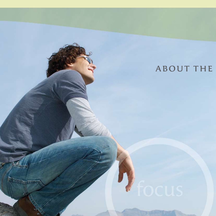# ABOUT THE

**CONTRACTOR**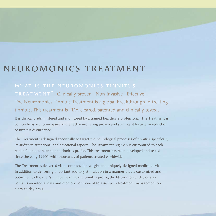# NEUROMONICS TREATMENT

 $TREATMENT$ ? Clinically proven-Non-invasive-Effective. The Neuromonics Tinnitus Treatment is a global breakthrough in treating tinnitus. This treatment is FDA-cleared, patented and clinically-tested.

It is clinically administered and monitored by a trained healthcare professional. The Treatment is comprehensive, non-invasive and effective—offering proven and significant long-term reduction of tinnitus disturbance.

The Treatment is designed specifically to target the neurological processes of tinnitus, specifically its auditory, attentional and emotional aspects. The Treatment regimen is customized to each patient's unique hearing and tinnitus profile. This treatment has been developed and tested since the early 1990's with thousands of patients treated worldwide.

The Treatment is delivered via a compact, lightweight and uniquely-designed medical device. In addition to delivering important auditory stimulation in a manner that is customized and optimized to the user's unique hearing and tinnitus profile, the Neuromonics device also contains an internal data and memory component to assist with treatment management on a day-to-day basis.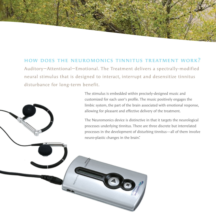how does the neuromonics tinnitus treatment work? Auditory—Attentional—Emotional. The Treatment delivers a spectrally-modified neural stimulus that is designed to interact, interrupt and desensitize tinnitus disturbance for long-term benefit.

> The stimulus is embedded within precisely-designed music and customized for each user's profile. The music positively engages the limbic system, the part of the brain associated with emotional response, allowing for pleasant and effective delivery of the treatment.

The Neuromonics device is distinctive in that it targets the neurological processes underlying tinnitus. There are three discrete but interrelated processes in the development of disturbing tinnitus—all of them involve neuro-plastic changes in the brain.\*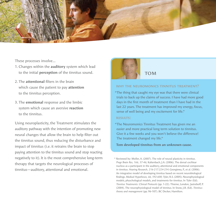

These processes involve…

- 1. Changes within the **auditory** system which lead to the initial **perception** of the tinnitus sound.
- 2. The **attentional** filters in the brain which cause the patient to pay **attention** to the tinnitus perception.
- 3. The **emotional** response and the limbic system which cause an aversive **reaction** to the tinnitus.

Using neuroplasticity, the Treatment stimulates the auditory pathway with the intention of promoting new neural changes that allow the brain to help filter out the tinnitus sound, thus reducing the disturbance and impact of tinnitus (i.e. it retrains the brain to stop paying attention to the tinnitus sound and stop reacting negatively to it). It is the most comprehensive long-term therapy that targets the neurological processes of tinnitus—auditory, attentional and emotional.



#### WHY THE NEUROMONICS TINNITUS TREATMENT?

"The thing that caught my eye was that there were clinical trials to back up the claims of success. I have had more good days in the first month of treatment than I have had in the last 22 years. The treatment has improved my energy, focus, sense of well being and my excitement for life."

#### results:

"The Neuromonics Tinnitus Treatment has given me an easier and more practical long term solution to tinnitus. Give it a few weeks and you won't believe the difference! The treatment changed my life."

 **Tom developed tinnitus from an unknown cause.**

<sup>\*</sup> Reviewed by: Moller, A. (2007). The role of neural plasticity in tinnitus. *Progr Brain Res, 166, 37-46*; Kaltenbach, J.A. (2006). The dorsal cochlear nucleus as a participant in the auditory, attentional and emotional components in tinnitus. *Hearing Research, 216-217:224-234*. Georgiewa, P., et al. (2006). An integrative model of developing tinnitus based on recent neurobiological findings. *Medical Hypotheses, 66, 592-600*; Tyler, R.S. (2005). Neurophysiological models, physchological models, and treatments for tinnitus. In Tyler (Ed). *Tinnitus Treatments: Clinical Protocols* (pp. 1-22). Thieme, London; Jastreboff, P. (2004). The neurophysiological model of tinnitus. In Snow, J.B. (Ed). *Tinnitus: theory and management* (pp. 96-107). BC Decker, Hamilton.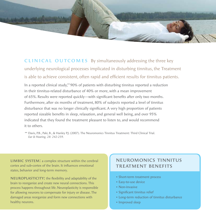

CLINICAL OUTCOMES By simultaneously addressing the three key underlying neurological processes implicated in disturbing tinnitus, the Treatment is able to achieve consistent, often rapid and efficient results for tinnitus patients.

In a reported clinical study,\*\* 90% of patients with disturbing tinnitus reported a reduction in their tinnitus-related disturbance of 40% or more, with a mean improvement of 65%. Results were reported quickly—with significant benefits after only two months. Furthermore, after six months of treatment, 80% of subjects reported a level of tinnitus disturbance that was no longer clinically significant. A very high proportion of patients reported sizeable benefits in sleep, relaxation, and general well being, and over 95% indicated that they found the treatment pleasant to listen to, and would recommend it to others.

\*\* Davis, P.B., Paki, B., & Hanley P.J. (2007). The Neuromonics Tinnitus Treatment: Third Clinical Trial. *Ear & Hearing, 28: 242-259*.

LIMBIC SYSTEM: a complex structure within the cerebral cortex and sub-cortex of the brain. It influences emotional states, behavior and long-term memory.

NEUROPLASTICITY: the flexibility and adaptability of the brain to reorganize and create new neural connections. This process happens throughout life. Neuroplasticity is responsible for allowing neurons to compensate for injury or disease. The damaged areas reorganize and form new connections with healthy neurons.

## neuromonics tinnitus treatment benefits

- Short-term treatment process
- Easy-to-use device
- Non-invasive
- Significant tinnitus relief
- Long-term reduction of tinnitus disturbance
- Improved sleep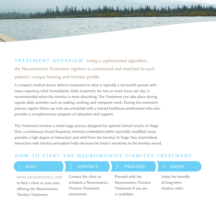

TREATMENT OVERVIEW Using a sophisticated algorithm, the Neuromonics Treatment regimen is customized and matched to each patient's unique hearing and tinnitus profile.

A compact medical device delivers treatment in what is typically a six-month period, with many reporting relief immediately. Daily treatment, for two or more hours per day, is recommended when the tinnitus is most disturbing. The Treatment can take place during regular daily activities such as reading, cooking, and computer work. During the treatment process, regular follow-up visits are scheduled with a trained healthcare professional who also provides a complementary program of education and support.

The Treatment involves a multi-stage process designed for optimal clinical results. In Stage One, a continuous broad frequency stimulus embedded within spectrally modified music provides a high degree of interaction and relief from the tinnitus. In Stage Two, intermittent interaction with tinnitus perception helps decrease the brain's sensitivity to the tinnitus sound.

### how to start the neuromonics tinnitus treatment

| <b>VISIT</b>                                                                                            |
|---------------------------------------------------------------------------------------------------------|
| www.neuromonics.com<br>to find a clinic in your area<br>offering the Neuromonics<br>Tinnitus Treatment. |